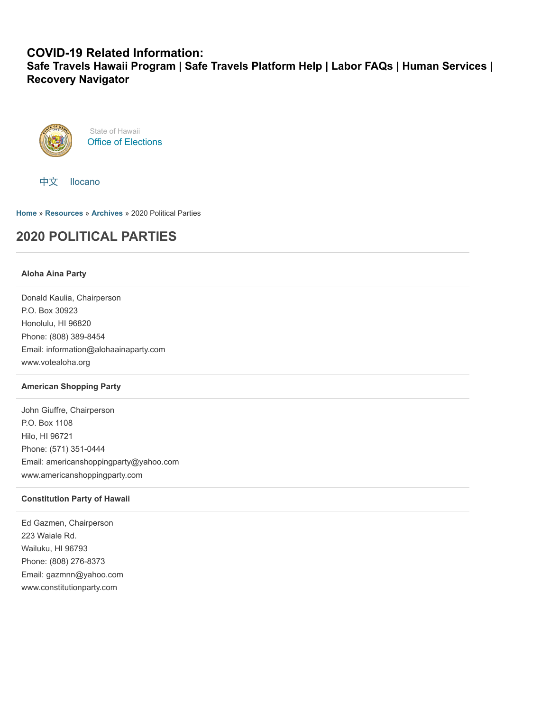### **COVID-19 Related Information:**

**[Safe Travels Hawaii Program](https://hawaiicovid19.com/travel/faqs/) | [Safe Travels Platform Help](https://ets.hawaii.gov/travelhelp/) | [Labor FAQs](https://labor.hawaii.gov/covid-19-labor-faqs) | [Human Services](https://humanservices.hawaii.gov/) | [Recovery Navigator](https://recoverynavigator.hawaii.gov/)**



State of Hawaii [Office of Elections](https://electionsdev.hawaii.gov/)



**[Home](https://electionsdev.hawaii.gov/)** » **[Resources](https://electionsdev.hawaii.gov/resources/)** » **[Archives](https://electionsdev.hawaii.gov/resources/archives/)** » 2020 Political Parties

# **2020 POLITICAL PARTIES**

#### **Aloha Aina Party**

Donald Kaulia, Chairperson P.O. Box 30923 Honolulu, HI 96820 Phone: (808) 389-8454 Email: information@alohaainaparty.com www.votealoha.org

#### **American Shopping Party**

John Giuffre, Chairperson P.O. Box 1108 Hilo, HI 96721 Phone: (571) 351-0444 Email: americanshoppingparty@yahoo.com www.americanshoppingparty.com

#### **Constitution Party of Hawaii**

Ed Gazmen, Chairperson 223 Waiale Rd. Wailuku, HI 96793 Phone: (808) 276-8373 Email: gazmnn@yahoo.com www.constitutionparty.com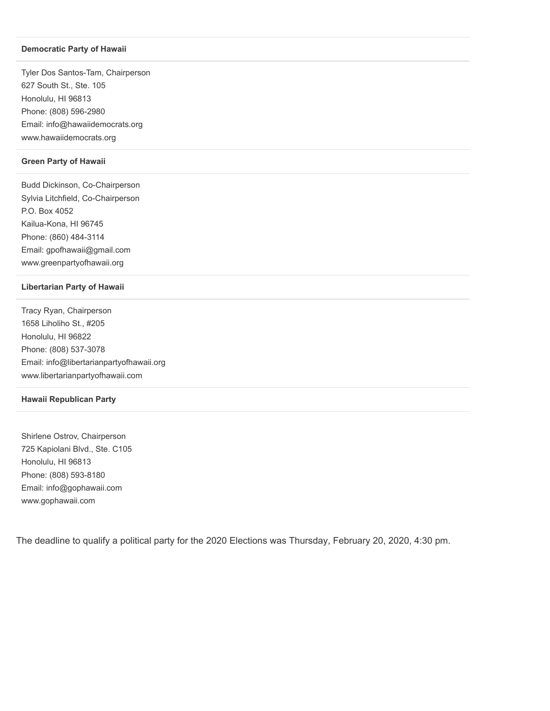#### **Democratic Party of Hawaii**

Tyler Dos Santos-Tam, Chairperson 627 South St., Ste. 105 Honolulu, HI 96813 Phone: (808) 596-2980 Email: info@hawaiidemocrats.org www.hawaiidemocrats.org

#### **Green Party of Hawaii**

Budd Dickinson, Co-Chairperson Sylvia Litchfield, Co-Chairperson P.O. Box 4052 Kailua-Kona, HI 96745 Phone: (860) 484-3114 Email: gpofhawaii@gmail.com www.greenpartyofhawaii.org

#### **Libertarian Party of Hawaii**

Tracy Ryan, Chairperson 1658 Liholiho St., #205 Honolulu, HI 96822 Phone: (808) 537-3078 Email: info@libertarianpartyofhawaii.org www.libertarianpartyofhawaii.com

#### **Hawaii Republican Party**

Shirlene Ostrov, Chairperson 725 Kapiolani Blvd., Ste. C105 Honolulu, HI 96813 Phone: (808) 593-8180 Email: info@gophawaii.com www.gophawaii.com

The deadline to qualify a political party for the 2020 Elections was Thursday, February 20, 2020, 4:30 pm.